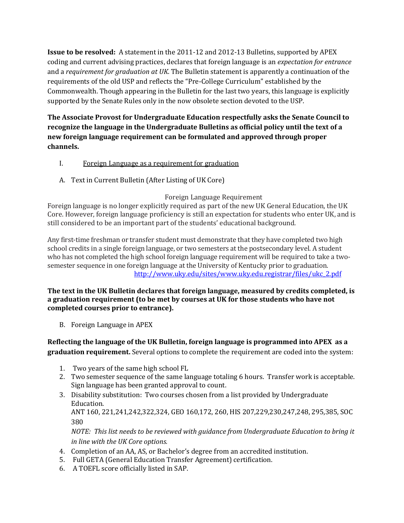**Issue to be resolved:** A statement in the 2011-12 and 2012-13 Bulletins, supported by APEX coding and current advising practices, declares that foreign language is an *expectation for entrance* and a *requirement for graduation at UK*. The Bulletin statement is apparently a continuation of the requirements of the old USP and reflects the "Pre-College Curriculum" established by the Commonwealth. Though appearing in the Bulletin for the last two years, this language is explicitly supported by the Senate Rules only in the now obsolete section devoted to the USP.

**The Associate Provost for Undergraduate Education respectfully asks the Senate Council to recognize the language in the Undergraduate Bulletins as official policy until the text of a new foreign language requirement can be formulated and approved through proper channels.**

- I. Foreign Language as a requirement for graduation
- A. Text in Current Bulletin (After Listing of UK Core)

## Foreign Language Requirement

Foreign language is no longer explicitly required as part of the new UK General Education, the UK Core. However, foreign language proficiency is still an expectation for students who enter UK, and is still considered to be an important part of the students' educational background.

Any first-time freshman or transfer student must demonstrate that they have completed two high school credits in a single foreign language, or two semesters at the postsecondary level. A student who has not completed the high school foreign language requirement will be required to take a twosemester sequence in one foreign language at the University of Kentucky prior to graduation. [http://www.uky.edu/sites/www.uky.edu.registrar/files/ukc\\_2.pdf](http://www.uky.edu/sites/www.uky.edu.registrar/files/ukc_2.pdf)

## **The text in the UK Bulletin declares that foreign language, measured by credits completed, is a graduation requirement (to be met by courses at UK for those students who have not completed courses prior to entrance).**

B. Foreign Language in APEX

## **Reflecting the language of the UK Bulletin, foreign language is programmed into APEX as a graduation requirement.** Several options to complete the requirement are coded into the system:

- 1. Two years of the same high school FL
- 2. Two semester sequence of the same language totaling 6 hours. Transfer work is acceptable. Sign language has been granted approval to count.
- 3. Disability substitution: Two courses chosen from a list provided by Undergraduate Education.

ANT 160, 221,241,242,322,324, GEO 160,172, 260, HIS 207,229,230,247,248, 295,385, SOC 380

*NOTE: This list needs to be reviewed with guidance from Undergraduate Education to bring it in line with the UK Core options.*

- 4. Completion of an AA, AS, or Bachelor's degree from an accredited institution.
- 5. Full GETA (General Education Transfer Agreement) certification.
- 6. A TOEFL score officially listed in SAP.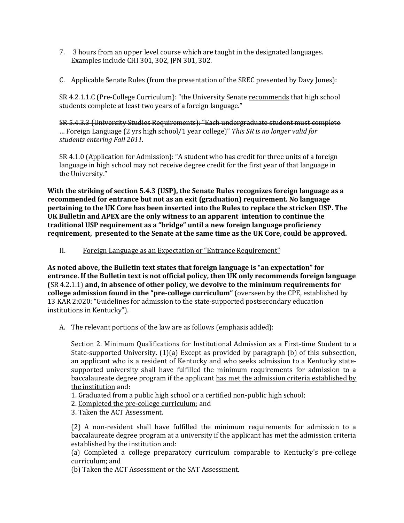- 7. 3 hours from an upper level course which are taught in the designated languages. Examples include CHI 301, 302, JPN 301, 302.
- C. Applicable Senate Rules (from the presentation of the SREC presented by Davy Jones):

SR 4.2.1.1.C (Pre-College Curriculum): "the University Senate recommends that high school students complete at least two years of a foreign language."

SR 5.4.3.3 (University Studies Requirements): "Each undergraduate student must complete … Foreign Language (2 yrs high school/1 year college)" *This SR is no longer valid for students entering Fall 2011.*

SR 4.1.0 (Application for Admission): "A student who has credit for three units of a foreign language in high school may not receive degree credit for the first year of that language in the University."

**With the striking of section 5.4.3 (USP), the Senate Rules recognizes foreign language as a recommended for entrance but not as an exit (graduation) requirement. No language pertaining to the UK Core has been inserted into the Rules to replace the stricken USP. The UK Bulletin and APEX are the only witness to an apparent intention to continue the traditional USP requirement as a "bridge" until a new foreign language proficiency requirement, presented to the Senate at the same time as the UK Core, could be approved.**

II. Foreign Language as an Expectation or "Entrance Requirement"

**As noted above, the Bulletin text states that foreign language is "an expectation" for entrance. If the Bulletin text is not official policy, then UK only recommends foreign language (**SR 4.2.1.1) **and, in absence of other policy, we devolve to the minimum requirements for college admission found in the "pre-college curriculum"** (overseen by the CPE, established by 13 KAR 2:020: "Guidelines for admission to the state-supported postsecondary education institutions in Kentucky").

A. The relevant portions of the law are as follows (emphasis added):

Section 2. Minimum Qualifications for Institutional Admission as a First-time Student to a State-supported University. (1)(a) Except as provided by paragraph (b) of this subsection, an applicant who is a resident of Kentucky and who seeks admission to a Kentucky statesupported university shall have fulfilled the minimum requirements for admission to a baccalaureate degree program if the applicant has met the admission criteria established by the institution and:

- 1. Graduated from a public high school or a certified non-public high school;
- 2. Completed the pre-college curriculum; and
- 3. Taken the ACT Assessment.

(2) A non-resident shall have fulfilled the minimum requirements for admission to a baccalaureate degree program at a university if the applicant has met the admission criteria established by the institution and:

(a) Completed a college preparatory curriculum comparable to Kentucky's pre-college curriculum; and

(b) Taken the ACT Assessment or the SAT Assessment.